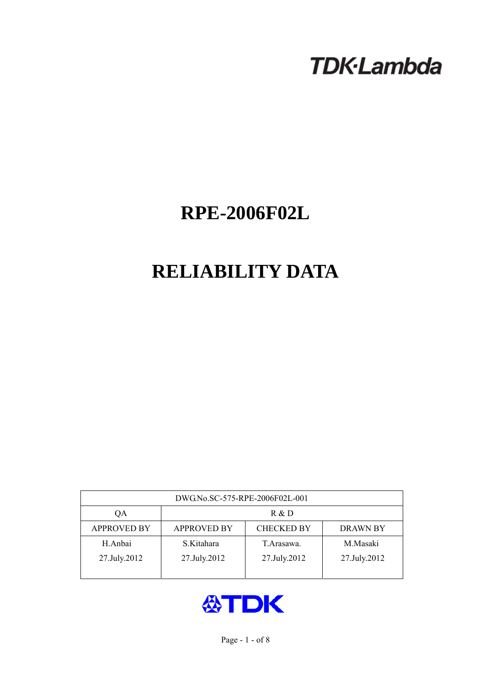# **TDK-Lambda**

## **RPE-2006F02L**

## **RELIABILITY DATA**

| DWG.No.SC-575-RPE-2006F02L-001 |                                                            |              |              |  |  |  |  |
|--------------------------------|------------------------------------------------------------|--------------|--------------|--|--|--|--|
| QA                             | R & D                                                      |              |              |  |  |  |  |
| <b>APPROVED BY</b>             | <b>CHECKED BY</b><br><b>APPROVED BY</b><br><b>DRAWN BY</b> |              |              |  |  |  |  |
| H.Anbai                        | S.Kitahara                                                 | T. Arasawa.  | M.Masaki     |  |  |  |  |
| 27.July.2012                   | 27.July.2012                                               | 27.July.2012 | 27.July.2012 |  |  |  |  |
|                                |                                                            |              |              |  |  |  |  |

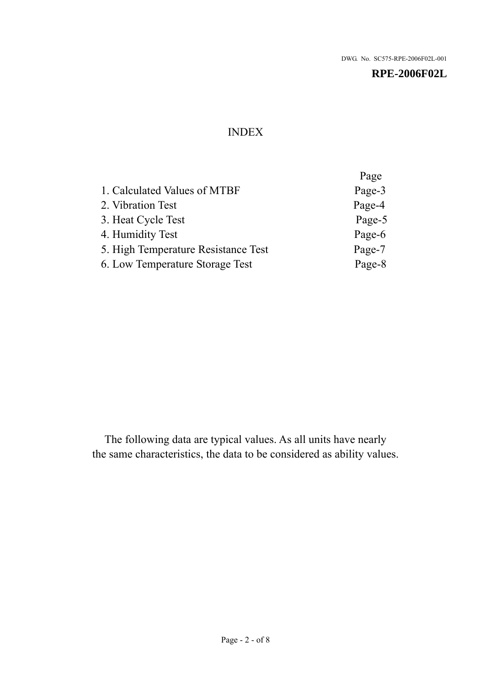## INDEX

|                                     | Page   |
|-------------------------------------|--------|
| 1. Calculated Values of MTBF        | Page-3 |
| 2. Vibration Test                   | Page-4 |
| 3. Heat Cycle Test                  | Page-5 |
| 4. Humidity Test                    | Page-6 |
| 5. High Temperature Resistance Test | Page-7 |
| 6. Low Temperature Storage Test     | Page-8 |
|                                     |        |

The following data are typical values. As all units have nearly the same characteristics, the data to be considered as ability values.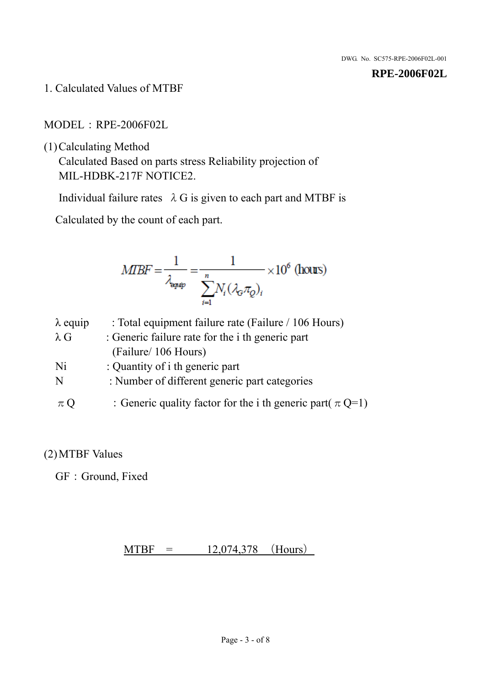1. Calculated Values of MTBF

MODEL:RPE-2006F02L

(1)Calculating Method

Calculated Based on parts stress Reliability projection of MIL-HDBK-217F NOTICE2.

Individual failure rates  $\lambda$  G is given to each part and MTBF is

Calculated by the count of each part.

$$
MIBF = \frac{1}{\lambda_{\text{expap}}} = \frac{1}{\sum_{i=1}^{n} N_i (\lambda_{\text{G}} \pi_Q)_i} \times 10^6 \text{ (hours)}
$$

| $\lambda$ equip | : Total equipment failure rate (Failure / 106 Hours)            |
|-----------------|-----------------------------------------------------------------|
| $\lambda$ G     | : Generic failure rate for the <i>i</i> th generic part         |
|                 | (Failure/ 106 Hours)                                            |
| Ni              | : Quantity of i th generic part                                 |
| N               | : Number of different generic part categories                   |
| $\pi Q$         | : Generic quality factor for the i th generic part( $\pi Q=1$ ) |

## (2)MTBF Values

GF: Ground, Fixed

 $MTBF = 12,074,378$  (Hours)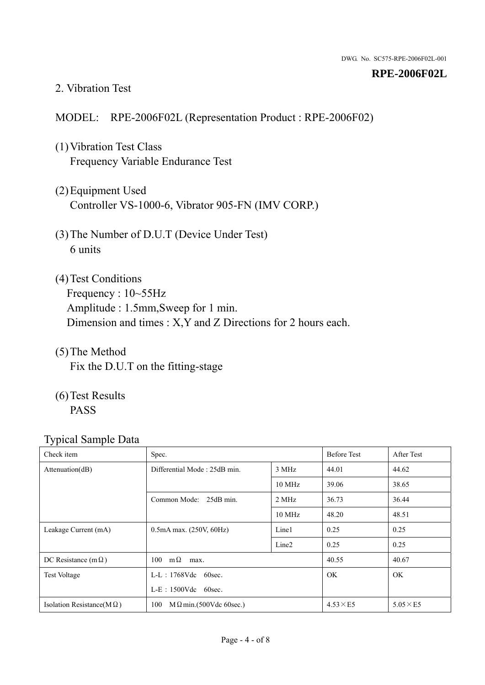#### 2. Vibration Test

#### MODEL: RPE-2006F02L (Representation Product : RPE-2006F02)

- (1)Vibration Test Class Frequency Variable Endurance Test
- (2)Equipment Used Controller VS-1000-6, Vibrator 905-FN (IMV CORP.)
- (3)The Number of D.U.T (Device Under Test) 6 units
- (4) Test Conditions Frequency : 10~55Hz Amplitude : 1.5mm,Sweep for 1 min. Dimension and times : X,Y and Z Directions for 2 hours each.
- (5)The Method Fix the D.U.T on the fitting-stage
- (6)Test Results PASS

| ┙┸<br>Check item                  | Spec.                                 |                   | <b>Before Test</b> | After Test      |
|-----------------------------------|---------------------------------------|-------------------|--------------------|-----------------|
| Attenuation(dB)                   | Differential Mode: 25dB min.          | 3 MHz             | 44.01              | 44.62           |
|                                   |                                       | 10 MHz            | 39.06              | 38.65           |
|                                   | Common Mode: 25dB min.                | 2 MHz             | 36.73              | 36.44           |
|                                   |                                       | 10 MHz            | 48.20              | 48.51           |
| Leakage Current (mA)              | $0.5mA$ max. $(250V, 60Hz)$           | Line1             | 0.25               | 0.25            |
|                                   |                                       | Line <sub>2</sub> | 0.25               | 0.25            |
| DC Resistance (m $\Omega$ )       | $100 \text{ m}\Omega$<br>max.         |                   | 40.55              | 40.67           |
| <b>Test Voltage</b>               | $L-L$ : 1768Vdc 60sec.                |                   | OK.                | OK.             |
|                                   | $L-E$ : 1500Vdc 60sec.                |                   |                    |                 |
| Isolation Resistance(M $\Omega$ ) | $M \Omega$ min.(500Vdc 60sec.)<br>100 |                   | $4.53\times E5$    | $5.05\times E5$ |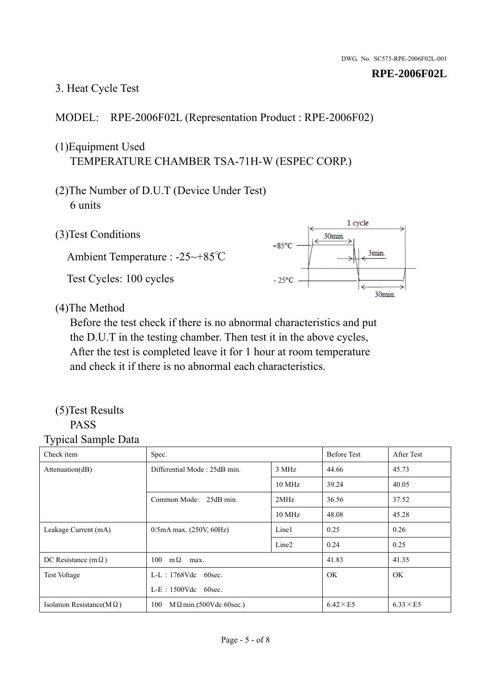## 3. Heat Cycle Test

## MODEL: RPE-2006F02L (Representation Product : RPE-2006F02)

## (1)Equipment Used TEMPERATURE CHAMBER TSA-71H-W (ESPEC CORP.)

- (2)The Number of D.U.T (Device Under Test) 6 units
- 1 cycle (3)Test Conditions 30<sub>min</sub>  $+85^{\circ}$ C 3min. Ambient Temperature : -25~+85℃ Test Cycles: 100 cycles  $-25^{\circ}$ C 30min.

(4)The Method

Before the test check if there is no abnormal characteristics and put the D.U.T in the testing chamber. Then test it in the above cycles, After the test is completed leave it for 1 hour at room temperature and check it if there is no abnormal each characteristics.

#### (5)Test Results PASS

| ╯┸<br>Check item                  | Spec.                                |                   | <b>Before Test</b> | After Test      |
|-----------------------------------|--------------------------------------|-------------------|--------------------|-----------------|
| Attenuation(dB)                   | Differential Mode: 25dB min.         |                   | 44.66              | 45.73           |
|                                   |                                      | 10 MHz            | 39.24              | 40.05           |
|                                   | Common Mode: 25dB min.               | 2MHz              | 36.56              | 37.52           |
|                                   |                                      | 10 MHz            | 48.08              | 45.28           |
| Leakage Current (mA)              | $0/5$ mA max. (250V, 60Hz)           | Line1             | 0.25               | 0.26            |
|                                   |                                      | Line <sub>2</sub> | 0.24               | 0.25            |
| DC Resistance $(m \Omega)$        | $100 \text{ m}\Omega$<br>max.        |                   | 41.83              | 41.35           |
| <b>Test Voltage</b>               | L-L: 1768Vdc 60sec.                  |                   | <b>OK</b>          | OK.             |
|                                   | $L-E$ : 1500Vdc 60sec.               |                   |                    |                 |
| Isolation Resistance(M $\Omega$ ) | 100<br>$M\Omega$ min.(500Vdc 60sec.) |                   | $6.42\times E5$    | $6.33\times E5$ |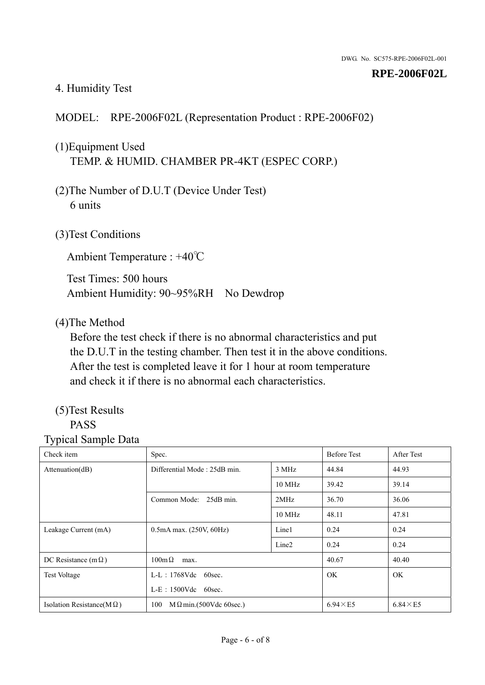## 4. Humidity Test

### MODEL: RPE-2006F02L (Representation Product : RPE-2006F02)

## (1)Equipment Used TEMP. & HUMID. CHAMBER PR-4KT (ESPEC CORP.)

- (2)The Number of D.U.T (Device Under Test) 6 units
- (3)Test Conditions

Ambient Temperature : +40℃

Test Times: 500 hours Ambient Humidity: 90~95%RH No Dewdrop

#### (4)The Method

Before the test check if there is no abnormal characteristics and put the D.U.T in the testing chamber. Then test it in the above conditions. After the test is completed leave it for 1 hour at room temperature and check it if there is no abnormal each characteristics.

## (5)Test Results

## PASS

| ັ່<br>л.<br>Check item            | Spec.                                 |                   | <b>Before Test</b> | After Test      |
|-----------------------------------|---------------------------------------|-------------------|--------------------|-----------------|
| Attenuation(dB)                   | Differential Mode: 25dB min.          | 3 MHz             | 44.84              | 44.93           |
|                                   |                                       | 10 MHz            | 39.42              | 39.14           |
|                                   | Common Mode: 25dB min.                | 2MHz              | 36.70              | 36.06           |
|                                   |                                       | 10 MHz            | 48.11              | 47.81           |
| Leakage Current (mA)              | $0.5mA$ max. $(250V, 60Hz)$           | Line1             | 0.24               | 0.24            |
|                                   |                                       | Line <sub>2</sub> | 0.24               | 0.24            |
| DC Resistance (m $\Omega$ )       | $100 \text{m}\,\Omega$<br>max.        |                   | 40.67              | 40.40           |
| <b>Test Voltage</b>               | $L-L$ : 1768Vdc 60sec.                |                   | OK.                | OK.             |
|                                   | $L-E$ : 1500Vdc 60sec.                |                   |                    |                 |
| Isolation Resistance(M $\Omega$ ) | $M \Omega$ min.(500Vdc 60sec.)<br>100 |                   | $6.94\times E5$    | $6.84\times E5$ |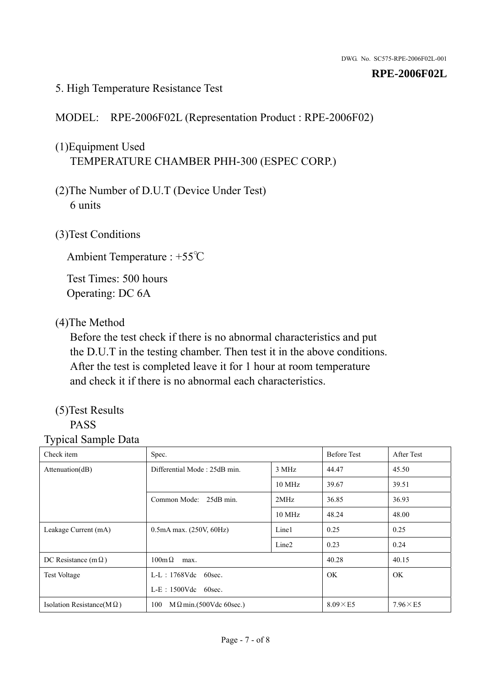#### 5. High Temperature Resistance Test

## MODEL: RPE-2006F02L (Representation Product : RPE-2006F02)

## (1)Equipment Used TEMPERATURE CHAMBER PHH-300 (ESPEC CORP.)

- (2)The Number of D.U.T (Device Under Test) 6 units
- (3)Test Conditions

Ambient Temperature : +55℃

Test Times: 500 hours Operating: DC 6A

## (4)The Method

Before the test check if there is no abnormal characteristics and put the D.U.T in the testing chamber. Then test it in the above conditions. After the test is completed leave it for 1 hour at room temperature and check it if there is no abnormal each characteristics.

## (5)Test Results

## PASS

| ັ່<br>л.<br>Check item            | Spec.                                 |                   | <b>Before Test</b> | After Test      |
|-----------------------------------|---------------------------------------|-------------------|--------------------|-----------------|
| Attenuation(dB)                   | Differential Mode: 25dB min.          | 3 MHz             | 44.47              | 45.50           |
|                                   |                                       | 10 MHz            | 39.67              | 39.51           |
|                                   | Common Mode: 25dB min.                | 2MHz              | 36.85              | 36.93           |
|                                   |                                       | 10 MHz            | 48.24              | 48.00           |
| Leakage Current (mA)              | $0.5mA$ max. $(250V, 60Hz)$           | Line1             | 0.25               | 0.25            |
|                                   |                                       | Line <sub>2</sub> | 0.23               | 0.24            |
| DC Resistance (m $\Omega$ )       | $100 \text{m}\,\Omega$<br>max.        |                   | 40.28              | 40.15           |
| <b>Test Voltage</b>               | $L-L$ : 1768Vdc 60sec.                |                   | OK.                | OK.             |
|                                   | $L-E$ : 1500Vdc 60sec.                |                   |                    |                 |
| Isolation Resistance(M $\Omega$ ) | $M \Omega$ min.(500Vdc 60sec.)<br>100 |                   | $8.09\times E5$    | $7.96\times E5$ |